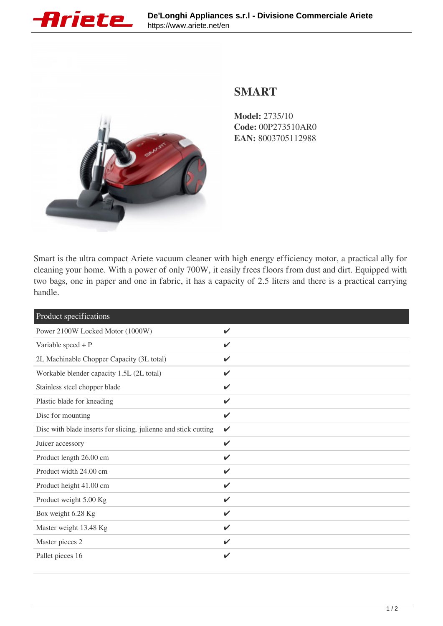



## **SMART**

**Model:** 2735/10 **Code:** 00P273510AR0 **EAN:** 8003705112988

Smart is the ultra compact Ariete vacuum cleaner with high energy efficiency motor, a practical ally for cleaning your home. With a power of only 700W, it easily frees floors from dust and dirt. Equipped with two bags, one in paper and one in fabric, it has a capacity of 2.5 liters and there is a practical carrying handle.

| Product specifications                                          |                    |
|-----------------------------------------------------------------|--------------------|
| Power 2100W Locked Motor (1000W)                                | $\checkmark$       |
| Variable speed $+$ P                                            | ✓                  |
| 2L Machinable Chopper Capacity (3L total)                       | $\checkmark$       |
| Workable blender capacity 1.5L (2L total)                       | V                  |
| Stainless steel chopper blade                                   | $\boldsymbol{\nu}$ |
| Plastic blade for kneading                                      | $\checkmark$       |
| Disc for mounting                                               | $\checkmark$       |
| Disc with blade inserts for slicing, julienne and stick cutting | V                  |
| Juicer accessory                                                | $\checkmark$       |
| Product length 26.00 cm                                         | V                  |
| Product width 24.00 cm                                          | $\checkmark$       |
| Product height 41.00 cm                                         | $\boldsymbol{\nu}$ |
| Product weight 5.00 Kg                                          | $\mathbf{v}$       |
| Box weight 6.28 Kg                                              | $\mathbf{v}$       |
| Master weight 13.48 Kg                                          | ✓                  |
| Master pieces 2                                                 | $\checkmark$       |
| Pallet pieces 16                                                | ✔                  |